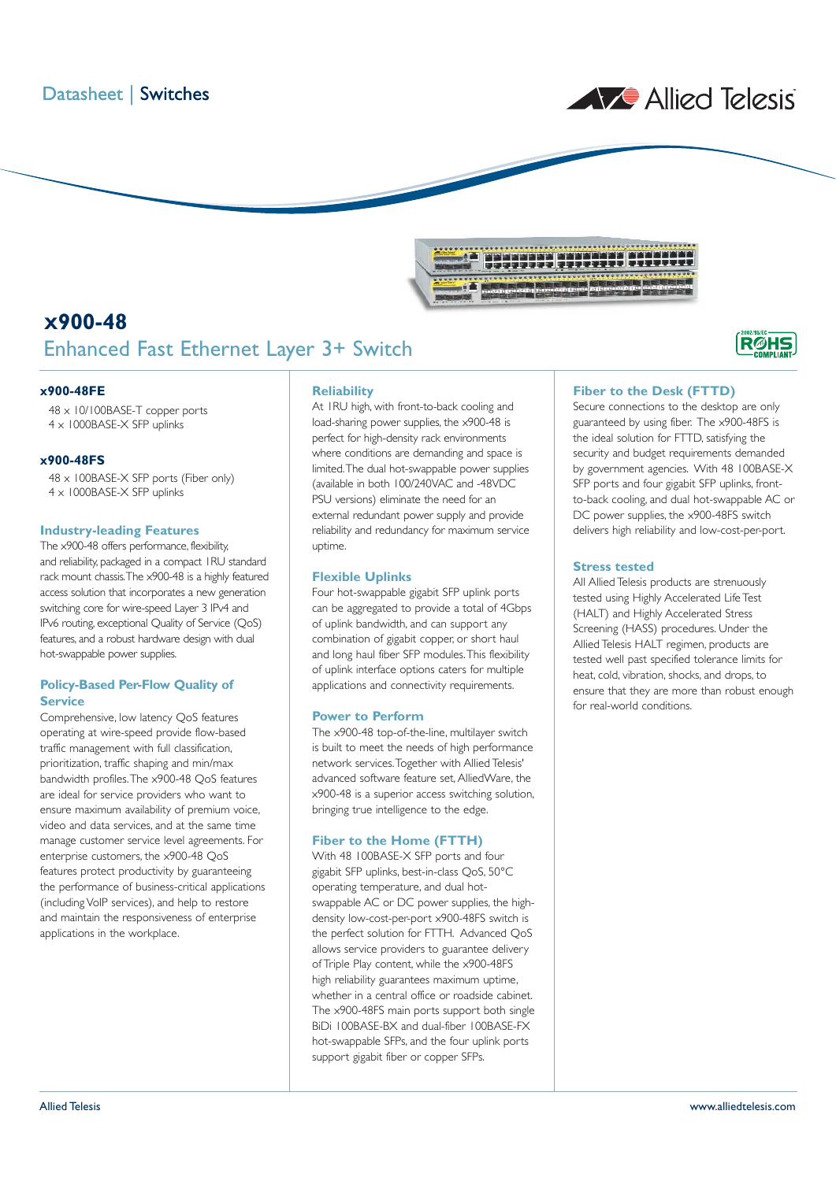



## **X900-48** Enhanced Fast Ethernet Layer 3+ Switch

### **x900-48FE**

48 x 10/100BASE-T copper ports 4 x 1000BASE-X SFP uplinks

### **x900-48FS**

48 x 100BASE-X SFP ports (Fiber only) 4 x 1000BASE-X SFP uplinks

### **Industry-leading Features**

The x900-48 offers performance, flexibility, and reliability, packaged in a compact 1RU standard rack mount chassis.The x900-48 is a highly featured access solution that incorporates a new generation switching core for wire-speed Layer 3 IPv4 and IPv6 routing, exceptional Quality of Service (QoS) features, and a robust hardware design with dual hot-swappable power supplies.

## **Policy-Based Per-Flow Quality of Service**

Comprehensive, low latency QoS features operating at wire-speed provide flow-based traffic management with full classification, prioritization, traffic shaping and min/max bandwidth profiles.The x900-48 QoS features are ideal for service providers who want to ensure maximum availability of premium voice, video and data services, and at the same time manage customer service level agreements. For enterprise customers, the x900-48 QoS features protect productivity by guaranteeing the performance of business-critical applications (including VoIP services), and help to restore and maintain the responsiveness of enterprise applications in the workplace.

### **Reliability**

At 1RU high, with front-to-back cooling and load-sharing power supplies, the x900-48 is perfect for high-density rack environments where conditions are demanding and space is limited.The dual hot-swappable power supplies (available in both 100/240VAC and -48VDC PSU versions) eliminate the need for an external redundant power supply and provide reliability and redundancy for maximum service uptime.

### **Flexible Uplinks**

Four hot-swappable gigabit SFP uplink ports can be aggregated to provide a total of 4Gbps of uplink bandwidth, and can support any combination of gigabit copper, or short haul and long haul fiber SFP modules.This flexibility of uplink interface options caters for multiple applications and connectivity requirements.

### **Power to Perform**

The x900-48 top-of-the-line, multilayer switch is built to meet the needs of high performance network services.Together with Allied Telesis' advanced software feature set, AlliedWare, the x900-48 is a superior access switching solution, bringing true intelligence to the edge.

### **Fiber to the Home (FTTH)**

With 48 100BASE-X SFP ports and four gigabit SFP uplinks, best-in-class QoS, 50°C operating temperature, and dual hotswappable AC or DC power supplies, the highdensity low-cost-per-port x900-48FS switch is the perfect solution for FTTH. Advanced QoS allows service providers to guarantee delivery of Triple Play content, while the x900-48FS high reliability guarantees maximum uptime, whether in a central office or roadside cabinet. The x900-48FS main ports support both single BiDi 100BASE-BX and dual-fiber 100BASE-FX hot-swappable SFPs, and the four uplink ports support gigabit fiber or copper SFPs.

## **Fiber to the Desk (FTTD)**

Secure connections to the desktop are only guaranteed by using fiber. The x900-48FS is the ideal solution for FTTD, satisfying the security and budget requirements demanded by government agencies. With 48 100BASE-X SFP ports and four gigabit SFP uplinks, frontto-back cooling, and dual hot-swappable AC or DC power supplies, the x900-48FS switch delivers high reliability and low-cost-per-port.

**R**ØHS

### **Stress tested**

All Allied Telesis products are strenuously tested using Highly Accelerated Life Test (HALT) and Highly Accelerated Stress Screening (HASS) procedures. Under the Allied Telesis HALT regimen, products are tested well past specified tolerance limits for heat, cold, vibration, shocks, and drops, to ensure that they are more than robust enough for real-world conditions.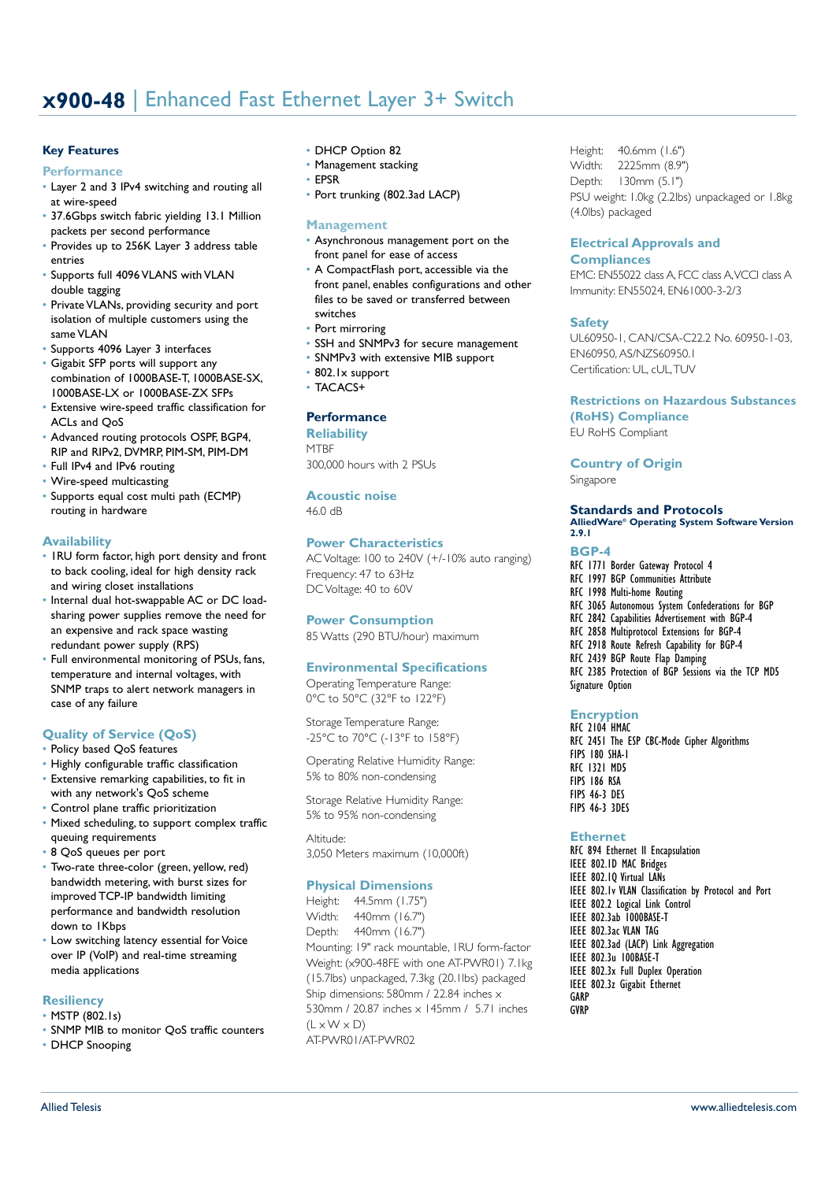# **X900-48** | Enhanced Fast Ethernet Layer 3+ Switch

## **Key Features Performance**

- Layer 2 and 3 IPv4 switching and routing all
- at wire-speed
- 37.6Gbps switch fabric yielding 13.1 Million packets per second performance
- Provides up to 256K Layer 3 address table entries
- Supports full 4096 VLANS with VLAN double tagging
- Private VLANs, providing security and port isolation of multiple customers using the same VLAN
- Supports 4096 Layer 3 interfaces
- Gigabit SFP ports will support any combination of 1000BASE-T, 1000BASE-SX, 1000BASE-LX or 1000BASE-ZX SFPs
- Extensive wire-speed traffic classification for ACLs and QoS
- Advanced routing protocols OSPF, BGP4, RIP and RIPv2, DVMRP, PIM-SM, PIM-DM
- Full IPv4 and IPv6 routing
- Wire-speed multicasting
- Supports equal cost multi path (ECMP) routing in hardware

### **Availability**

- 1RU form factor, high port density and front to back cooling, ideal for high density rack and wiring closet installations
- Internal dual hot-swappable AC or DC loadsharing power supplies remove the need for an expensive and rack space wasting redundant power supply (RPS)
- Full environmental monitoring of PSUs, fans, temperature and internal voltages, with SNMP traps to alert network managers in case of any failure

## **Quality of Service (QoS)**

- Policy based QoS features
- Highly configurable traffic classification
- Extensive remarking capabilities, to fit in with any network's OoS scheme
- Control plane traffic prioritization
- Mixed scheduling, to support complex traffic queuing requirements
- 8 QoS queues per port
- Two-rate three-color (green, yellow, red) bandwidth metering, with burst sizes for improved TCP-IP bandwidth limiting performance and bandwidth resolution down to IKbps
- Low switching latency essential for Voice over IP (VoIP) and real-time streaming media applications

### **Resiliency**

- MSTP (802.1s)
- SNMP MIB to monitor QoS traffic counters
- DHCP Snooping
- DHCP Option 82
	- Management stacking
	- EPSR
	- Port trunking (802.3ad LACP)

### **Management**

- Asynchronous management port on the front panel for ease of access
- A CompactFlash port, accessible via the front panel, enables configurations and other files to be saved or transferred between switches
- Port mirroring
- SSH and SNMPv3 for secure management
- SNMPv3 with extensive MIB support
- 802.1x support
- TACACS+

## **Performance**

**Reliability MTBF** 300,000 hours with 2 PSUs

**Acoustic noise** 46.0 dB

### **Power Characteristics**

AC Voltage: 100 to 240V (+/-10% auto ranging) Frequency: 47 to 63Hz DC Voltage: 40 to 60V

### **Power Consumption**

85 Watts (290 BTU/hour) maximum

## **Environmental Specifications**

Operating Temperature Range: 0°C to 50°C (32°F to 122°F)

Storage Temperature Range: -25°C to 70°C (-13°F to 158°F)

Operating Relative Humidity Range: 5% to 80% non-condensing

Storage Relative Humidity Range: 5% to 95% non-condensing

Altitude: 3,050 Meters maximum (10,000ft)

### **Physical Dimensions**

Height: 44.5mm (1.75") Width: 440mm (16.7") Depth: 440mm (16.7") Mounting: 19" rack mountable, 1RU form-factor Weight: (x900-48FE with one AT-PWR01) 7.1kg (15.7lbs) unpackaged, 7.3kg (20.1lbs) packaged Ship dimensions: 580mm / 22.84 inches x 530mm / 20.87 inches x 145mm / 5.71 inches  $(1 \times W \times D)$ AT-PWR01/AT-PWR02

Height: 40.6mm (1.6") Width: 2225mm (8.9") Depth: 130mm (5.1") PSU weight: 1.0kg (2.2lbs) unpackaged or 1.8kg (4.0lbs) packaged

### **Electrical Approvals and Compliances**

EMC: EN55022 class A, FCC class A,VCCI class A Immunity: EN55024, EN61000-3-2/3

### **Safety**

UL60950-1, CAN/CSA-C22.2 No. 60950-1-03, EN60950, AS/NZS60950.1 Certification: UL, cUL,TUV

## **Restrictions on Hazardous Substances**

**(RoHS) Compliance** EU RoHS Compliant

### **Country of Origin**

Singapore

## **Standards and Protocols**

**AlliedWare® Operating System Software Version 2.9.1**

### **BGP-4**

RFC 1771 Border Gateway Protocol 4 RFC 1997 BGP Communities Attribute RFC 1998 Multi-home Routing RFC 3065 Autonomous System Confederations for BGP RFC 2842 Capabilities Advertisement with BGP-4 RFC 2858 Multiprotocol Extensions for BGP-4 RFC 2918 Route Refresh Capability for BGP-4 RFC 2439 BGP Route Flap Damping RFC 2385 Protection of BGP Sessions via the TCP MD5 Signature Option

## **Encryption**

RFC 2104 HMAC RFC 2451 The ESP CBC-Mode Cipher Algorithms FIPS 180 SHA-1 RFC 1321 MD5 FIPS 186 RSA FIPS 46-3 DES FIPS 46-3 3DES

### **Ethernet**

RFC 894 Ethernet II Encapsulation IEEE 802.1D MAC Bridges IEEE 802.10 Virtual LANs IEEE 802.1v VLAN Classification by Protocol and Port IEEE 802.2 Logical Link Control IEEE 802.3ab 1000BASE-T IEEE 802.3ac VLAN TAG IEEE 802.3ad (LACP) Link Aggregation IEEE 802.3u 100BASE-T IEEE 802.3x Full Duplex Operation IEEE 802.3z Gigabit Ethernet GARP GVRP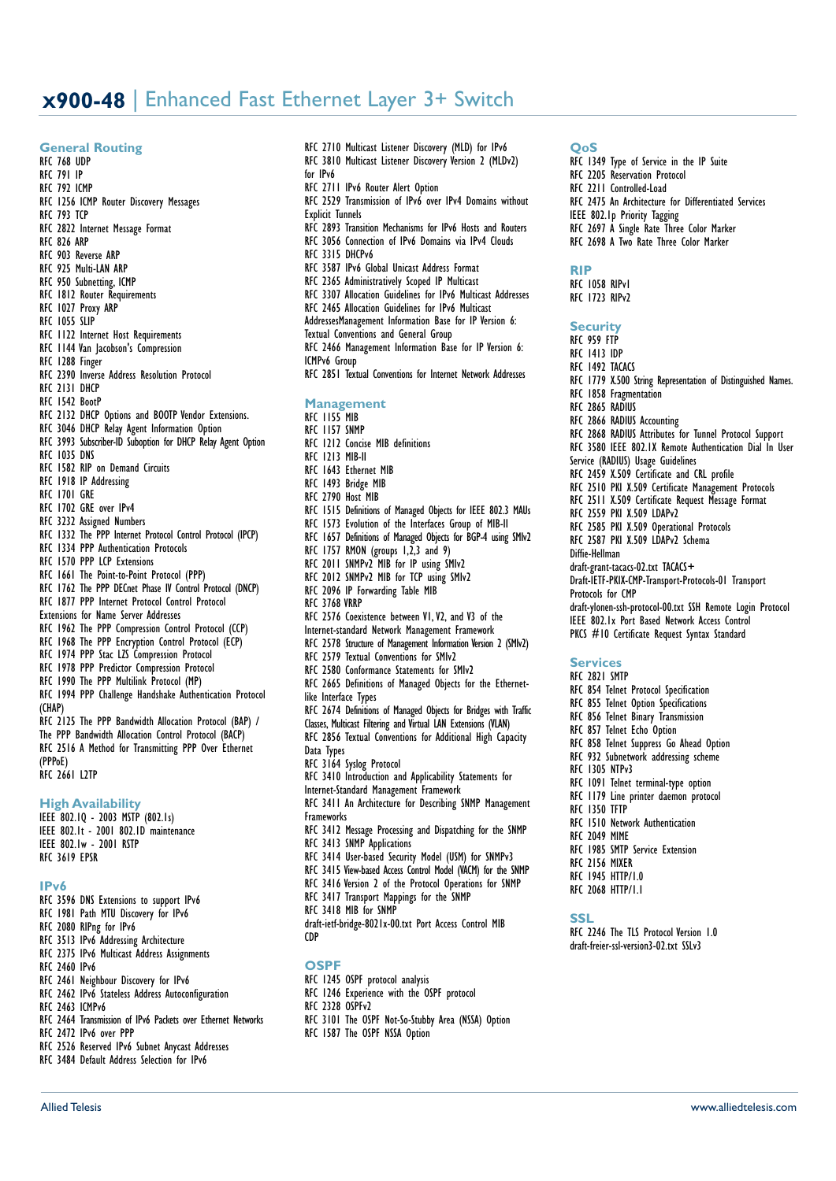## **X900-48** | Enhanced Fast Ethernet Layer 3+ Switch

### **General Routing**

RFC 768 UDP RFC 791 IP

- RFC 792 ICMP
- RFC 1256 ICMP Router Discovery Messages
- RFC 793 TCP
- RFC 2822 Internet Message Format
- RFC 826 ARP
- RFC 903 Reverse ARP
- RFC 925 Multi-LAN ARP
- RFC 950 Subnetting, ICMP
- RFC 1812 Router Requirements
- RFC 1027 Proxy ARP
- RFC 1055 SLIP
- RFC 1122 Internet Host Requirements
- RFC 1144 Van Jacobson's Compression
- RFC 1288 Finger
- RFC 2390 Inverse Address Resolution Protocol
- RFC 2131 DHCP
- RFC 1542 BootP
- RFC 2132 DHCP Options and BOOTP Vendor Extensions.
- RFC 3046 DHCP Relay Agent Information Option
- RFC 3993 Subscriber-ID Suboption for DHCP Relay Agent Option
- RFC 1035 DNS
- RFC 1582 RIP on Demand Circuits
- RFC 1918 IP Addressing
- RFC 1701 GRE
- RFC 1702 GRE over IPv4
- RFC 3232 Assigned Numbers
- RFC 1332 The PPP Internet Protocol Control Protocol (IPCP) RFC 1334 PPP Authentication Protocols
- 
- RFC 1570 PPP LCP Extensions
- RFC 1661 The Point-to-Point Protocol (PPP)
- RFC 1762 The PPP DECnet Phase IV Control Protocol (DNCP) RFC 1877 PPP Internet Protocol Control Protocol
- Extensions for Name Server Addresses
- RFC 1962 The PPP Compression Control Protocol (CCP)
- RFC 1968 The PPP Encryption Control Protocol (ECP)
- RFC 1974 PPP Stac LZS Compression Protocol
- RFC 1978 PPP Predictor Compression Protocol
- RFC 1990 The PPP Multilink Protocol (MP)
- RFC 1994 PPP Challenge Handshake Authentication Protocol
- (CHAP) RFC 2125 The PPP Bandwidth Allocation Protocol (BAP) / The PPP Bandwidth Allocation Control Protocol (BACP) RFC 2516 A Method for Transmitting PPP Over Ethernet (PPPoE)
- RFC 2661 L2TP

### **High Availability**

IEEE 802.1Q - 2003 MSTP (802.1s) IEEE 802.1t - 2001 802.1D maintenance IEEE 802.1w - 2001 RSTP RFC 3619 EPSR

### **IPv6**

- RFC 3596 DNS Extensions to support IPv6 RFC 1981 Path MTU Discovery for IPv6 RFC 2080 RIPng for IPv6 RFC 3513 IPv6 Addressing Architecture RFC 2375 IPv6 Multicast Address Assignments RFC 2460 IPv6 RFC 2461 Neighbour Discovery for IPv6 RFC 2462 IPv6 Stateless Address Autoconfiguration RFC 2463 ICMPv6 RFC 2464 Transmission of IPv6 Packets over Ethernet Networks
- RFC 2472 IPv6 over PPP
- 

RFC 2526 Reserved IPv6 Subnet Anycast Addresses RFC 3484 Default Address Selection for IPv6

- RFC 2710 Multicast Listener Discovery (MLD) for IPv6 RFC 3810 Multicast Listener Discovery Version 2 (MLDv2) for IPv6 RFC 2711 IPv6 Router Alert Option RFC 2529 Transmission of IPv6 over IPv4 Domains without Explicit Tunnels RFC 2893 Transition Mechanisms for IPv6 Hosts and Routers RFC 3056 Connection of IPv6 Domains via IPv4 Clouds RFC 3315 DHCPv6 RFC 3587 IPv6 Global Unicast Address Format RFC 2365 Administratively Scoped IP Multicast RFC 3307 Allocation Guidelines for IPv6 Multicast Addresses RFC 2465 Allocation Guidelines for IPv6 Multicast AddressesManagement Information Base for IP Version 6: Textual Conventions and General Group RFC 2466 Management Information Base for IP Version 6: ICMPv6 Group RFC 2851 Textual Conventions for Internet Network Addresses **Management** RFC 1155 MIB RFC 1157 SNMP RFC 1212 Concise MIB definitions RFC 1213 MIB-II RFC 1643 Ethernet MIB RFC 1493 Bridge MIB RFC 2790 Host MIB RFC 1515 Definitions of Managed Objects for IEEE 802.3 MAUs RFC 1573 Evolution of the Interfaces Group of MIB-II RFC 1657 Definitions of Managed Objects for BGP-4 using SMIv2 RFC 1757 RMON (groups 1,2,3 and 9) RFC 2011 SNMPv2 MIB for IP using SMIv2 RFC 2012 SNMPv2 MIB for TCP using SMIv2 RFC 2096 IP Forwarding Table MIB RFC 3768 VRRP RFC 2576 Coexistence between V1,V2, and V3 of the Internet-standard Network Management Framework RFC 2578 Structure of Management Information Version 2 (SMIv2) RFC 2579 Textual Conventions for SMIv2 RFC 2580 Conformance Statements for SMIv2 RFC 2665 Definitions of Managed Objects for the Ethernetlike Interface Types RFC 2674 Definitions of Managed Objects for Bridges with Traffic Classes, Multicast Filtering and Virtual LAN Extensions (VLAN) RFC 2856 Textual Conventions for Additional High Capacity Data Types RFC 3164 Syslog Protocol RFC 3410 Introduction and Applicability Statements for Internet-Standard Management Framework RFC 3411 An Architecture for Describing SNMP Management Frameworks RFC 3412 Message Processing and Dispatching for the SNMP RFC 3413 SNMP Applications RFC 3414 User-based Security Model (USM) for SNMPv3 RFC 3415 View-based Access Control Model (VACM) for the SNMP RFC 3416 Version 2 of the Protocol Operations for SNMP RFC 3417 Transport Mappings for the SNMP RFC 3418 MIB for SNMP draft-ietf-bridge-8021x-00.txt Port Access Control MIB CDP **OSPF**
	- RFC 1245 OSPF protocol analysis
	- RFC 1246 Experience with the OSPF protocol
	- RFC 2328 OSPFv2
	- RFC 3101 The OSPF Not-So-Stubby Area (NSSA) Option

Allied Telesis www.alliedtelesis.com

RFC 1587 The OSPF NSSA Option

## **QoS**

- RFC 1349 Type of Service in the IP Suite RFC 2205 Reservation Protocol RFC 2211 Controlled-Load RFC 2475 An Architecture for Differentiated Services IEEE 802.1p Priority Tagging
- RFC 2697 A Single Rate Three Color Marker
- RFC 2698 A Two Rate Three Color Marker

#### **RIP**

RFC 1058 RIPv1 RFC 1723 RIPv2

#### **Security**

- RFC 959 FTP
- RFC 1413 IDP
- RFC 1492 TACACS
- RFC 1779 X.500 String Representation of Distinguished Names.
- RFC 1858 Fragmentation
- RFC 2865 RADIUS
- RFC 2866 RADIUS Accounting
- RFC 2868 RADIUS Attributes for Tunnel Protocol Support
- RFC 3580 IEEE 802.1X Remote Authentication Dial In User Service (RADIUS) Usage Guidelines
- RFC 2459 X.509 Certificate and CRL profile
- RFC 2510 PKI X.509 Certificate Management Protocols
- RFC 2511 X.509 Certificate Request Message Format
- RFC 2559 PKI X.509 LDAPv2
- RFC 2585 PKI X.509 Operational Protocols
- RFC 2587 PKI X.509 LDAPv2 Schema
- Diffie-Hellman
- draft-grant-tacacs-02.txt TACACS+
- Draft-IETF-PKIX-CMP-Transport-Protocols-01 Transport

Protocols for CMP

- draft-ylonen-ssh-protocol-00.txt SSH Remote Login Protocol IEEE 802.1x Port Based Network Access Control
- PKCS #10 Certificate Request Syntax Standard

### **Services**

- RFC 2821 SMTP
- RFC 854 Telnet Protocol Specification
- RFC 855 Telnet Option Specifications
- RFC 856 Telnet Binary Transmission
- RFC 857 Telnet Echo Option
- RFC 858 Telnet Suppress Go Ahead Option
- RFC 932 Subnetwork addressing scheme
- RFC 1305 NTPv3
- RFC 1091 Telnet terminal-type option
- RFC 1179 Line printer daemon protocol

RFC 2246 The TLS Protocol Version 1.0 draft-freier-ssl-version3-02.txt SSLv3

RFC 1350 TFTP

RFC 1945 HTTP/1.0 RFC 2068 HTTP/1.1

**SSL**

- RFC 1510 Network Authentication
- RFC 2049 MIME
- RFC 1985 SMTP Service Extension
- RFC 2156 MIXER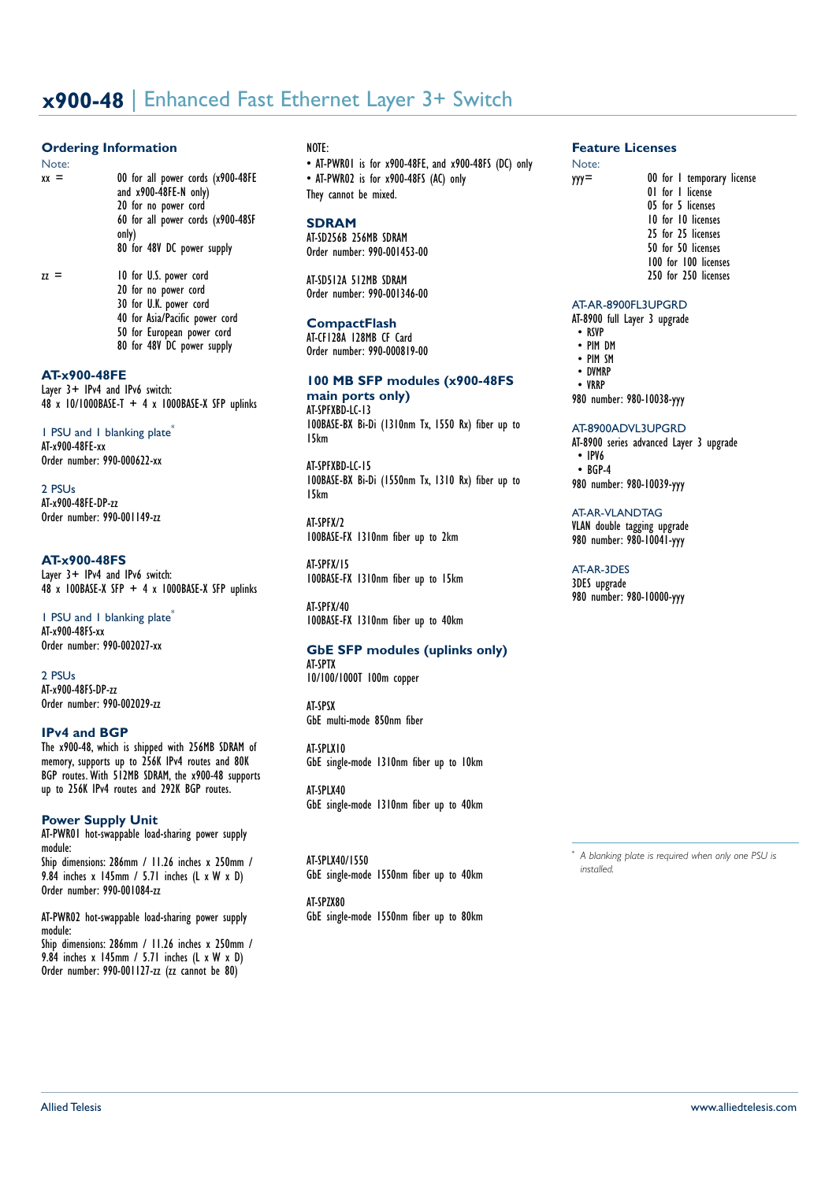# **x900-48** | Enhanced Fast Ethernet Layer 3+ Switch

### **Ordering Information**

Note:<br> $xx =$ 

00 for all power cords (x900-48FE and x900-48FE-N only) 20 for no power cord 60 for all power cords (x900-48SF only) 80 for 48V DC power supply

 $zz =$  10 for U.S. power cord 20 for no power cord 30 for U.K. power cord 40 for Asia/Pacific power cord 50 for European power cord 80 for 48V DC power supply

## **AT-x900-48FE**

Layer 3+ IPv4 and IPv6 switch:  $48 \times 10/1000$ BASE-T + 4 x 1000BASE-X SFP uplinks

1 PSU and 1 blanking plate<sup>\*</sup> AT-x900-48FE-xx Order number: 990-000622-xx

2 PSL Is AT-x900-48FE-DP-zz Order number: 990-001149-zz

### **AT-x900-48FS**

Layer 3+ IPv4 and IPv6 switch:  $48 \times 100B$ ASE-X SFP + 4 x 1000BASE-X SFP uplinks

1 PSU and 1 blanking plate<sup>\*</sup> AT-x900-48FS-xx Order number: 990-002027-xx

2 PSUs AT-x900-48FS-DP-zz Order number: 990-002029-zz

### **IPv4 and BGP**

The x900-48, which is shipped with 256MB SDRAM of memory, supports up to 256K IPv4 routes and 80K BGP routes.With 512MB SDRAM, the x900-48 supports up to 256K IPv4 routes and 292K BGP routes.

## **Power Supply Unit**

AT-PWR01 hot-swappable load-sharing power supply module: Ship dimensions: 286mm / 11.26 inches x 250mm / 9.84 inches x 145mm / 5.71 inches (L x W x D) Order number: 990-001084-zz

AT-PWR02 hot-swappable load-sharing power supply module:

Ship dimensions: 286mm / 11.26 inches x 250mm / 9.84 inches x 145mm / 5.71 inches (L x W x D) Order number: 990-001127-zz (zz cannot be 80)

## NOTE:

• AT-PWR01 is for x900-48FE, and x900-48FS (DC) only • AT-PWR02 is for x900-48FS (AC) only They cannot be mixed.

### **SDRAM**

AT-SD256B 256MB SDRAM Order number: 990-001453-00

AT-SD512A 512MB SDRAM Order number: 990-001346-00

### **CompactFlash**

AT-CF128A 128MB CF Card Order number: 990-000819-00

## **100 MB SFP modules (x900-48FS main ports only)**

AT-SPFXBD-LC-13 100BASE-BX Bi-Di (1310nm Tx, 1550 Rx) fiber up to 15km

AT-SPFXBD-LC-15 100BASE-BX Bi-Di (1550nm Tx, 1310 Rx) fiber up to 15km

AT-SPFX/2 100BASE-FX 1310nm fiber up to 2km

AT-SPFX/15 100BASE-FX 1310nm fiber up to 15km

AT-SPFX/40 100BASE-FX 1310nm fiber up to 40km

## **GbE SFP modules (uplinks only)**

AT-SPTX 10/100/1000T 100m copper

AT-SPSX GbE multi-mode 850nm fiber

AT-SPLX10 GbE single-mode 1310nm fiber up to 10km

AT-SPLX40 GbE single-mode 1310nm fiber up to 40km

AT-SPLX40/1550 GbE single-mode 1550nm fiber up to 40km

AT-SPZX80 GbE single-mode 1550nm fiber up to 80km

## **Feature Licenses**

Note:<br> **yyy**=

- 00 for 1 temporary license
- 01 for 1 license 05 for 5 licenses 10 for 10 licenses
	- 25 for 25 licenses
- 50 for 50 licenses
- 100 for 100 licenses
- 250 for 250 licenses

### AT-AR-8900FL3UPGRD

AT-8900 full Layer 3 upgrade

- RSVP • PIM DM
- PIM SM
- DVMRP
- VRRP

980 number: 980-10038-yyy

### AT-8900ADVL3UPGRD

AT-8900 series advanced Layer 3 upgrade • IPV6 • BGP-4 980 number: 980-10039-yyy

AT-AR-VLANDTAG

VLAN double tagging upgrade 980 number: 980-10041-yyy

### AT-AR-3DES

3DES upgrade 980 number: 980-10000-yyy

\* *A blanking plate is required when only one PSU is installed.*